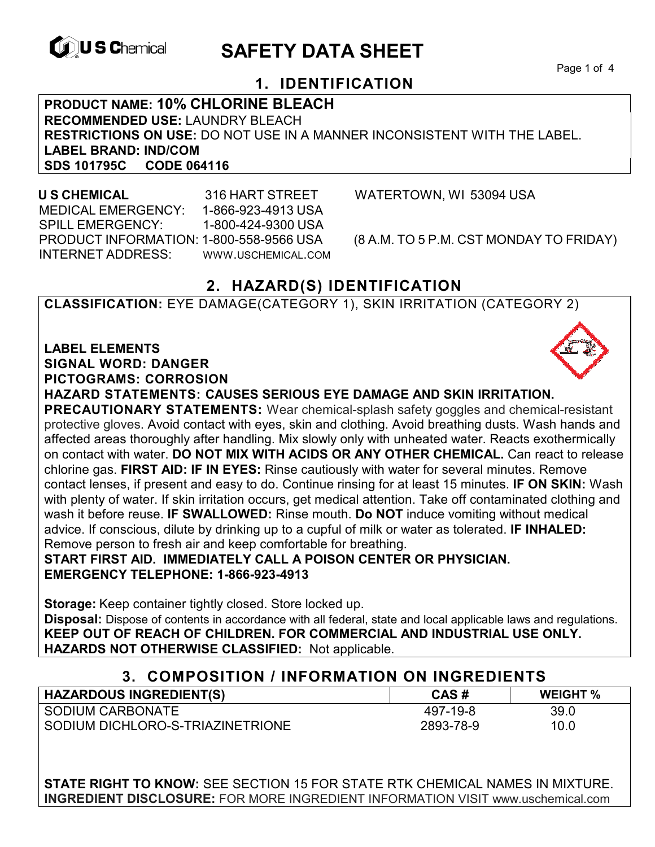

# **EXAGREM** SAFETY DATA SHEET

Page 1 of 4

# **1. IDENTIFICATION**

**PRODUCT NAME: 10% CHLORINE BLEACH RECOMMENDED USE:** LAUNDRY BLEACH **RESTRICTIONS ON USE:** DO NOT USE IN A MANNER INCONSISTENT WITH THE LABEL. **LABEL BRAND: IND/COM SDS 101795C** 

 **U S CHEMICAL** 316 HART STREET WATERTOWN, WI 53094 USA MEDICAL EMERGENCY: 1-866-923-4913 USA SPILL EMERGENCY: 1-800-424-9300 USA PRODUCT INFORMATION: 1-800-558-9566 USA (8 A.M. TO 5 P.M. CST MONDAY TO FRIDAY) INTERNET ADDRESS: WWW.USCHEMICAL.COM

# **2. HAZARD(S) IDENTIFICATION**

**CLASSIFICATION:** EYE DAMAGE(CATEGORY 1), SKIN IRRITATION (CATEGORY 2)

**LABEL ELEMENTS SIGNAL WORD: DANGER PICTOGRAMS: CORROSION**

**HAZARD STATEMENTS: CAUSES SERIOUS EYE DAMAGE AND SKIN IRRITATION.** 

**PRECAUTIONARY STATEMENTS:** Wear chemical-splash safety goggles and chemical-resistant protective gloves. Avoid contact with eyes, skin and clothing. Avoid breathing dusts. Wash hands and affected areas thoroughly after handling. Mix slowly only with unheated water. Reacts exothermically on contact with water. **DO NOT MIX WITH ACIDS OR ANY OTHER CHEMICAL.** Can react to release chlorine gas. **FIRST AID: IF IN EYES:** Rinse cautiously with water for several minutes. Remove contact lenses, if present and easy to do. Continue rinsing for at least 15 minutes. **IF ON SKIN:** Wash with plenty of water. If skin irritation occurs, get medical attention. Take off contaminated clothing and wash it before reuse. **IF SWALLOWED:** Rinse mouth. **Do NOT** induce vomiting without medical advice. If conscious, dilute by drinking up to a cupful of milk or water as tolerated. **IF INHALED:** Remove person to fresh air and keep comfortable for breathing.

**START FIRST AID. IMMEDIATELY CALL A POISON CENTER OR PHYSICIAN. EMERGENCY TELEPHONE: 1-866-923-4913**

**Storage:** Keep container tightly closed. Store locked up. **Disposal:** Dispose of contents in accordance with all federal, state and local applicable laws and regulations. **KEEP OUT OF REACH OF CHILDREN. FOR COMMERCIAL AND INDUSTRIAL USE ONLY. HAZARDS NOT OTHERWISE CLASSIFIED:** Not applicable.

| 3. COMPOSITION / INFORMATION ON INGREDIENTS |           |                 |
|---------------------------------------------|-----------|-----------------|
| <b>HAZARDOUS INGREDIENT(S)</b>              | CAS#      | <b>WEIGHT %</b> |
| SODIUM CARBONATE                            | 497-19-8  | 39.0            |
| SODIUM DICHLORO-S-TRIAZINETRIONE            | 2893-78-9 | 10.0            |

**STATE RIGHT TO KNOW:** SEE SECTION 15 FOR STATE RTK CHEMICAL NAMES IN MIXTURE. **INGREDIENT DISCLOSURE:** FOR MORE INGREDIENT INFORMATION VISIT www.uschemical.com

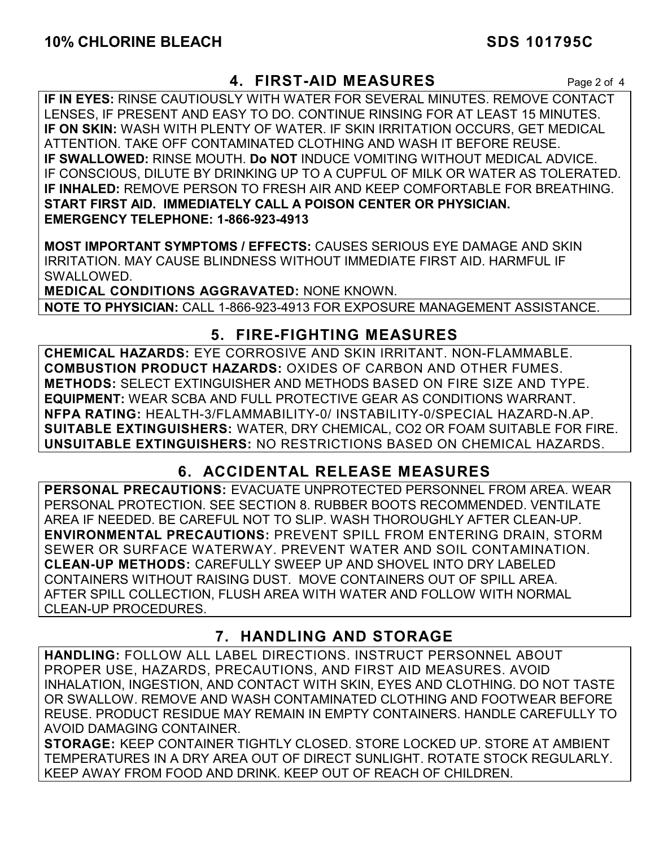#### **4. FIRST-AID MEASURES** Page 2 of 4

**IF IN EYES:** RINSE CAUTIOUSLY WITH WATER FOR SEVERAL MINUTES. REMOVE CONTACT LENSES, IF PRESENT AND EASY TO DO. CONTINUE RINSING FOR AT LEAST 15 MINUTES. **IF ON SKIN:** WASH WITH PLENTY OF WATER. IF SKIN IRRITATION OCCURS, GET MEDICAL ATTENTION. TAKE OFF CONTAMINATED CLOTHING AND WASH IT BEFORE REUSE. **IF SWALLOWED:** RINSE MOUTH. **Do NOT** INDUCE VOMITING WITHOUT MEDICAL ADVICE. IF CONSCIOUS, DILUTE BY DRINKING UP TO A CUPFUL OF MILK OR WATER AS TOLERATED. **IF INHALED:** REMOVE PERSON TO FRESH AIR AND KEEP COMFORTABLE FOR BREATHING. **START FIRST AID. IMMEDIATELY CALL A POISON CENTER OR PHYSICIAN. EMERGENCY TELEPHONE: 1-866-923-4913**

**MOST IMPORTANT SYMPTOMS / EFFECTS:** CAUSES SERIOUS EYE DAMAGE AND SKIN IRRITATION. MAY CAUSE BLINDNESS WITHOUT IMMEDIATE FIRST AID. HARMFUL IF SWALLOWED.

**MEDICAL CONDITIONS AGGRAVATED:** NONE KNOWN. **NOTE TO PHYSICIAN:** CALL 1-866-923-4913 FOR EXPOSURE MANAGEMENT ASSISTANCE.

## **5. FIRE-FIGHTING MEASURES**

**CHEMICAL HAZARDS:** EYE CORROSIVE AND SKIN IRRITANT. NON-FLAMMABLE. **COMBUSTION PRODUCT HAZARDS:** OXIDES OF CARBON AND OTHER FUMES. **METHODS:** SELECT EXTINGUISHER AND METHODS BASED ON FIRE SIZE AND TYPE. **EQUIPMENT:** WEAR SCBA AND FULL PROTECTIVE GEAR AS CONDITIONS WARRANT. **NFPA RATING:** HEALTH-3/FLAMMABILITY-0/ INSTABILITY-0/SPECIAL HAZARD-N.AP. **SUITABLE EXTINGUISHERS:** WATER, DRY CHEMICAL, CO2 OR FOAM SUITABLE FOR FIRE. **UNSUITABLE EXTINGUISHERS:** NO RESTRICTIONS BASED ON CHEMICAL HAZARDS.

# **6. ACCIDENTAL RELEASE MEASURES**

**PERSONAL PRECAUTIONS:** EVACUATE UNPROTECTED PERSONNEL FROM AREA. WEAR PERSONAL PROTECTION. SEE SECTION 8. RUBBER BOOTS RECOMMENDED. VENTILATE AREA IF NEEDED. BE CAREFUL NOT TO SLIP. WASH THOROUGHLY AFTER CLEAN-UP. **ENVIRONMENTAL PRECAUTIONS:** PREVENT SPILL FROM ENTERING DRAIN, STORM SEWER OR SURFACE WATERWAY. PREVENT WATER AND SOIL CONTAMINATION. **CLEAN-UP METHODS:** CAREFULLY SWEEP UP AND SHOVEL INTO DRY LABELED CONTAINERS WITHOUT RAISING DUST. MOVE CONTAINERS OUT OF SPILL AREA. AFTER SPILL COLLECTION, FLUSH AREA WITH WATER AND FOLLOW WITH NORMAL CLEAN-UP PROCEDURES.

# **7. HANDLING AND STORAGE**

**HANDLING:** FOLLOW ALL LABEL DIRECTIONS. INSTRUCT PERSONNEL ABOUT PROPER USE, HAZARDS, PRECAUTIONS, AND FIRST AID MEASURES. AVOID INHALATION, INGESTION, AND CONTACT WITH SKIN, EYES AND CLOTHING. DO NOT TASTE OR SWALLOW. REMOVE AND WASH CONTAMINATED CLOTHING AND FOOTWEAR BEFORE REUSE. PRODUCT RESIDUE MAY REMAIN IN EMPTY CONTAINERS. HANDLE CAREFULLY TO AVOID DAMAGING CONTAINER.

**STORAGE:** KEEP CONTAINER TIGHTLY CLOSED. STORE LOCKED UP. STORE AT AMBIENT TEMPERATURES IN A DRY AREA OUT OF DIRECT SUNLIGHT. ROTATE STOCK REGULARLY. KEEP AWAY FROM FOOD AND DRINK. KEEP OUT OF REACH OF CHILDREN.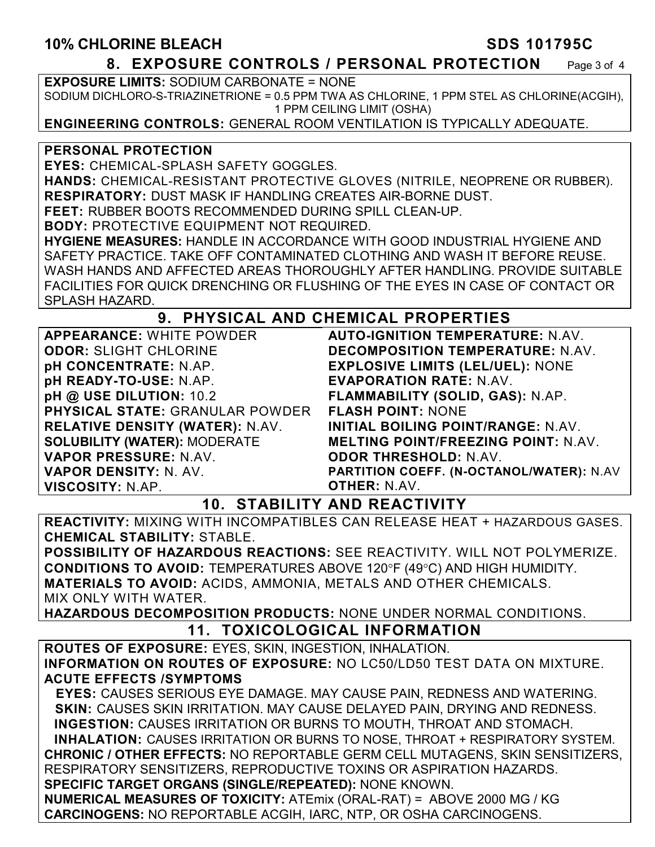#### **10% CHLORINE BLEACH SDS 101795C**

**8. EXPOSURE CONTROLS / PERSONAL PROTECTION** Page 3 of 4

**EXPOSURE LIMITS:** SODIUM CARBONATE = NONE SODIUM DICHLORO-S-TRIAZINETRIONE = 0.5 PPM TWA AS CHLORINE, 1 PPM STEL AS CHLORINE(ACGIH), 1 PPM CEILING LIMIT (OSHA)

**ENGINEERING CONTROLS:** GENERAL ROOM VENTILATION IS TYPICALLY ADEQUATE.

#### **PERSONAL PROTECTION**

**EYES:** CHEMICAL-SPLASH SAFETY GOGGLES.

**HANDS:** CHEMICAL-RESISTANT PROTECTIVE GLOVES (NITRILE, NEOPRENE OR RUBBER). **RESPIRATORY:** DUST MASK IF HANDLING CREATES AIR-BORNE DUST.

**FEET:** RUBBER BOOTS RECOMMENDED DURING SPILL CLEAN-UP.

**BODY:** PROTECTIVE EQUIPMENT NOT REQUIRED.

**HYGIENE MEASURES:** HANDLE IN ACCORDANCE WITH GOOD INDUSTRIAL HYGIENE AND SAFETY PRACTICE. TAKE OFF CONTAMINATED CLOTHING AND WASH IT BEFORE REUSE. WASH HANDS AND AFFECTED AREAS THOROUGHLY AFTER HANDLING. PROVIDE SUITABLE FACILITIES FOR QUICK DRENCHING OR FLUSHING OF THE EYES IN CASE OF CONTACT OR SPLASH HAZARD.

#### **9. PHYSICAL AND CHEMICAL PROPERTIES**

**APPEARANCE:** WHITE POWDER **ODOR:** SLIGHT CHLORINE **pH CONCENTRATE:** N.AP. **pH READY-TO-USE:** N.AP. **pH @ USE DILUTION:** 10.2 **PHYSICAL STATE:** GRANULAR POWDER **RELATIVE DENSITY (WATER):** N.AV. **SOLUBILITY (WATER):** MODERATE **VAPOR PRESSURE:** N.AV. **VAPOR DENSITY:** N. AV. **VISCOSITY:** N.AP.

**AUTO-IGNITION TEMPERATURE:** N.AV. **DECOMPOSITION TEMPERATURE:** N.AV. **EXPLOSIVE LIMITS (LEL/UEL):** NONE **EVAPORATION RATE:** N.AV. **FLAMMABILITY (SOLID, GAS):** N.AP. **FLASH POINT:** NONE **INITIAL BOILING POINT/RANGE:** N.AV. **MELTING POINT/FREEZING POINT:** N.AV. **ODOR THRESHOLD:** N.AV. **PARTITION COEFF. (N-OCTANOL/WATER):** N.AV **OTHER:** N.AV.

#### **10. STABILITY AND REACTIVITY**

**REACTIVITY:** MIXING WITH INCOMPATIBLES CAN RELEASE HEAT + HAZARDOUS GASES. **CHEMICAL STABILITY:** STABLE.

**POSSIBILITY OF HAZARDOUS REACTIONS:** SEE REACTIVITY. WILL NOT POLYMERIZE. **CONDITIONS TO AVOID: TEMPERATURES ABOVE 120°F (49°C) AND HIGH HUMIDITY. MATERIALS TO AVOID:** ACIDS, AMMONIA, METALS AND OTHER CHEMICALS. MIX ONLY WITH WATER.

**HAZARDOUS DECOMPOSITION PRODUCTS:** NONE UNDER NORMAL CONDITIONS.

#### **11. TOXICOLOGICAL INFORMATION**

**ROUTES OF EXPOSURE:** EYES, SKIN, INGESTION, INHALATION. **INFORMATION ON ROUTES OF EXPOSURE:** NO LC50/LD50 TEST DATA ON MIXTURE. **ACUTE EFFECTS /SYMPTOMS**

 **EYES:** CAUSES SERIOUS EYE DAMAGE. MAY CAUSE PAIN, REDNESS AND WATERING. **SKIN:** CAUSES SKIN IRRITATION. MAY CAUSE DELAYED PAIN, DRYING AND REDNESS. **INGESTION:** CAUSES IRRITATION OR BURNS TO MOUTH, THROAT AND STOMACH. **INHALATION:** CAUSES IRRITATION OR BURNS TO NOSE, THROAT + RESPIRATORY SYSTEM. **CHRONIC / OTHER EFFECTS:** NO REPORTABLE GERM CELL MUTAGENS, SKIN SENSITIZERS, RESPIRATORY SENSITIZERS, REPRODUCTIVE TOXINS OR ASPIRATION HAZARDS. **SPECIFIC TARGET ORGANS (SINGLE/REPEATED):** NONE KNOWN. **NUMERICAL MEASURES OF TOXICITY:** ATEmix (ORAL-RAT) = ABOVE 2000 MG / KG **CARCINOGENS:** NO REPORTABLE ACGIH, IARC, NTP, OR OSHA CARCINOGENS.